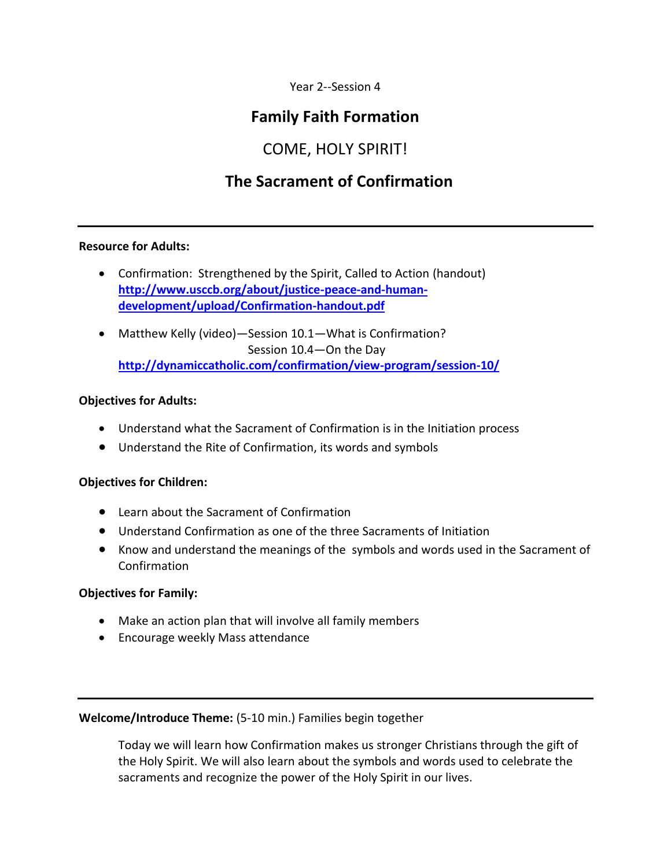Year 2--Session 4

## **Family Faith Formation**

## COME, HOLY SPIRIT!

## **The Sacrament of Confirmation**

## **Resource for Adults:**

- Confirmation: Strengthened by the Spirit, Called to Action (handout) **[http://www.usccb.org/about/justice-peace-and-human](http://www.usccb.org/about/justice-peace-and-human-development/upload/Confirmation-handout.pdf)[development/upload/Confirmation-handout.pdf](http://www.usccb.org/about/justice-peace-and-human-development/upload/Confirmation-handout.pdf)**
- Matthew Kelly (video)—Session 10.1—What is Confirmation? Session 10.4—On the Day **<http://dynamiccatholic.com/confirmation/view-program/session-10/>**

#### **Objectives for Adults:**

- Understand what the Sacrament of Confirmation is in the Initiation process
- Understand the Rite of Confirmation, its words and symbols

## **Objectives for Children:**

- Learn about the Sacrament of Confirmation
- Understand Confirmation as one of the three Sacraments of Initiation
- Know and understand the meanings of the symbols and words used in the Sacrament of Confirmation

## **Objectives for Family:**

- Make an action plan that will involve all family members
- Encourage weekly Mass attendance

**Welcome/Introduce Theme:** (5-10 min.) Families begin together

Today we will learn how Confirmation makes us stronger Christians through the gift of the Holy Spirit. We will also learn about the symbols and words used to celebrate the sacraments and recognize the power of the Holy Spirit in our lives.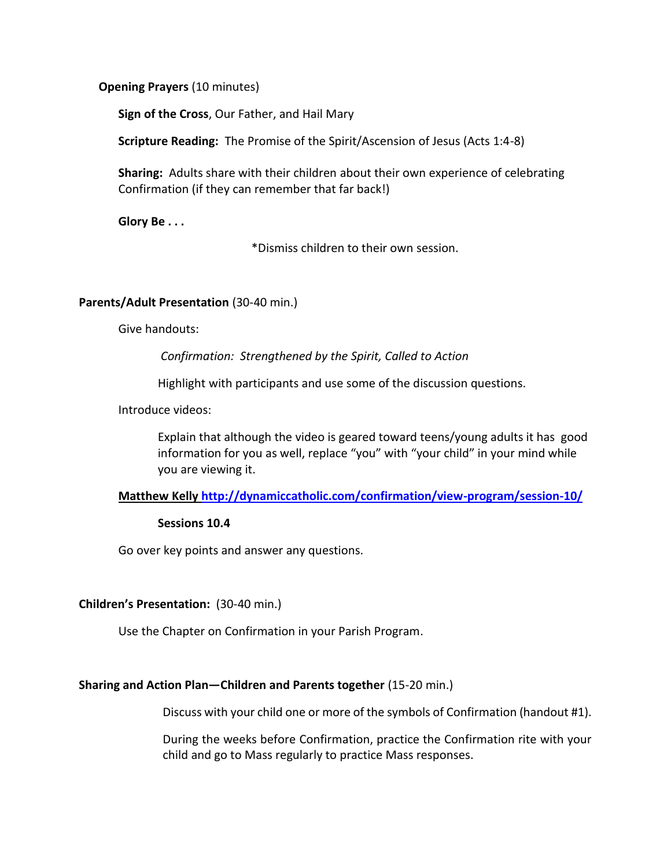**Opening Prayers** (10 minutes)

**Sign of the Cross**, Our Father, and Hail Mary

**Scripture Reading:** The Promise of the Spirit/Ascension of Jesus (Acts 1:4-8)

**Sharing:** Adults share with their children about their own experience of celebrating Confirmation (if they can remember that far back!)

**Glory Be . . .**

\*Dismiss children to their own session.

#### **Parents/Adult Presentation** (30-40 min.)

Give handouts:

*Confirmation: Strengthened by the Spirit, Called to Action*

Highlight with participants and use some of the discussion questions.

Introduce videos:

Explain that although the video is geared toward teens/young adults it has good information for you as well, replace "you" with "your child" in your mind while you are viewing it.

## **Matthew Kelly<http://dynamiccatholic.com/confirmation/view-program/session-10/>**

#### **Sessions 10.4**

Go over key points and answer any questions.

#### **Children's Presentation:** (30-40 min.)

Use the Chapter on Confirmation in your Parish Program.

#### **Sharing and Action Plan—Children and Parents together** (15-20 min.)

Discuss with your child one or more of the symbols of Confirmation (handout #1).

During the weeks before Confirmation, practice the Confirmation rite with your child and go to Mass regularly to practice Mass responses.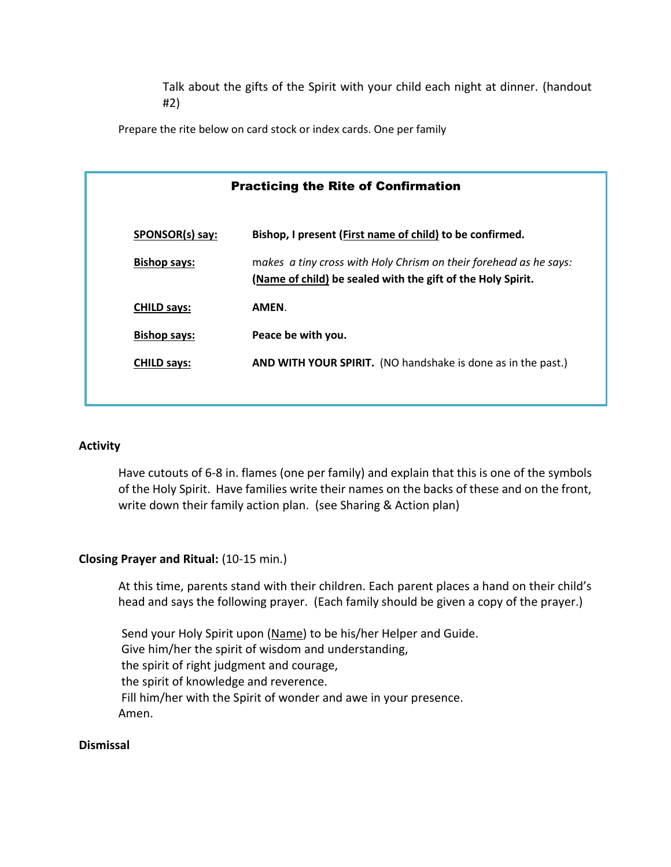Talk about the gifts of the Spirit with your child each night at dinner. (handout #2)

Prepare the rite below on card stock or index cards. One per family

| <b>Practicing the Rite of Confirmation</b> |                                                                                                                                  |
|--------------------------------------------|----------------------------------------------------------------------------------------------------------------------------------|
| SPONSOR(s) say:                            | Bishop, I present (First name of child) to be confirmed.                                                                         |
| <b>Bishop says:</b>                        | makes a tiny cross with Holy Chrism on their forehead as he says:<br>(Name of child) be sealed with the gift of the Holy Spirit. |
| <b>CHILD says:</b>                         | AMEN.                                                                                                                            |
| <b>Bishop says:</b>                        | Peace be with you.                                                                                                               |
| <b>CHILD says:</b>                         | AND WITH YOUR SPIRIT. (NO handshake is done as in the past.)                                                                     |
|                                            |                                                                                                                                  |

#### **Activity**

Have cutouts of 6-8 in. flames (one per family) and explain that this is one of the symbols of the Holy Spirit. Have families write their names on the backs of these and on the front, write down their family action plan. (see Sharing & Action plan)

## **Closing Prayer and Ritual:** (10-15 min.)

At this time, parents stand with their children. Each parent places a hand on their child's head and says the following prayer. (Each family should be given a copy of the prayer.)

Send your Holy Spirit upon (Name) to be his/her Helper and Guide. Give him/her the spirit of wisdom and understanding, the spirit of right judgment and courage, the spirit of knowledge and reverence. Fill him/her with the Spirit of wonder and awe in your presence. Amen.

#### **Dismissal**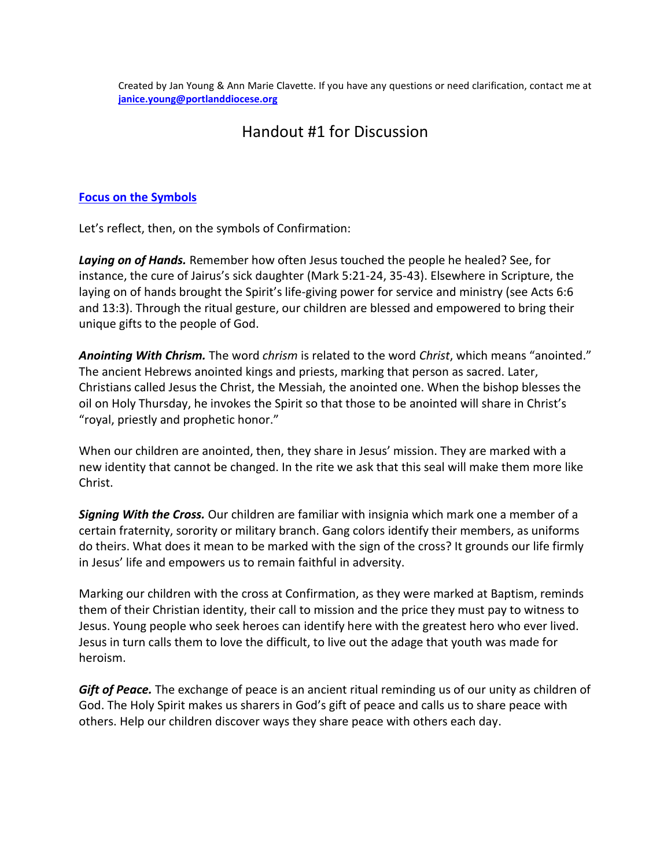Created by Jan Young & Ann Marie Clavette. If you have any questions or need clarification, contact me at **[janice.young@portlanddiocese.org](mailto:janice.young@portlanddiocese.org)**

## Handout #1 for Discussion

### **[Focus on the Symbols](http://www.americancatholic.org/Messenger/May2002/Feature2.asp#top)**

Let's reflect, then, on the symbols of Confirmation:

*Laying on of Hands.* Remember how often Jesus touched the people he healed? See, for instance, the cure of Jairus's sick daughter (Mark 5:21-24, 35-43). Elsewhere in Scripture, the laying on of hands brought the Spirit's life-giving power for service and ministry (see Acts 6:6 and 13:3). Through the ritual gesture, our children are blessed and empowered to bring their unique gifts to the people of God.

*Anointing With Chrism.* The word *chrism* is related to the word *Christ*, which means "anointed." The ancient Hebrews anointed kings and priests, marking that person as sacred. Later, Christians called Jesus the Christ, the Messiah, the anointed one. When the bishop blesses the oil on Holy Thursday, he invokes the Spirit so that those to be anointed will share in Christ's "royal, priestly and prophetic honor."

When our children are anointed, then, they share in Jesus' mission. They are marked with a new identity that cannot be changed. In the rite we ask that this seal will make them more like Christ.

*Signing With the Cross.* Our children are familiar with insignia which mark one a member of a certain fraternity, sorority or military branch. Gang colors identify their members, as uniforms do theirs. What does it mean to be marked with the sign of the cross? It grounds our life firmly in Jesus' life and empowers us to remain faithful in adversity.

Marking our children with the cross at Confirmation, as they were marked at Baptism, reminds them of their Christian identity, their call to mission and the price they must pay to witness to Jesus. Young people who seek heroes can identify here with the greatest hero who ever lived. Jesus in turn calls them to love the difficult, to live out the adage that youth was made for heroism.

*Gift of Peace.* The exchange of peace is an ancient ritual reminding us of our unity as children of God. The Holy Spirit makes us sharers in God's gift of peace and calls us to share peace with others. Help our children discover ways they share peace with others each day.